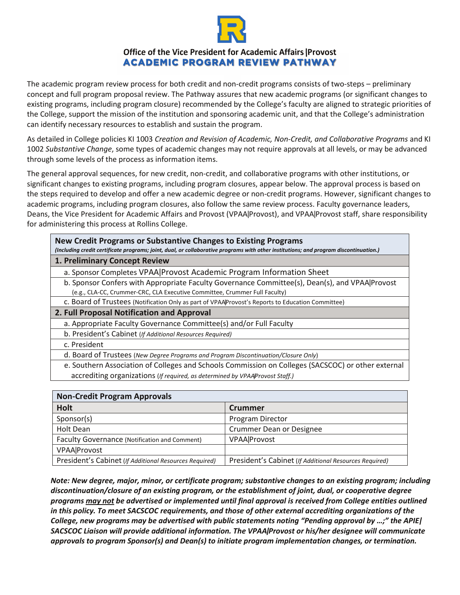

# **Office of the Vice President for Academic Affairs| Provost ACADEMIC PROGRAM REVIEW PATHWAY**

The academic program review process for both credit and non-credit programs consists of two-steps – preliminary concept and full program proposal review. The Pathway assures that new academic programs (or significant changes to existing programs, including program closure) recommended by the College's faculty are aligned to strategic priorities of the College, support the mission of the institution and sponsoring academic unit, and that the College's administration can identify necessary resources to establish and sustain the program.

As detailed in College policies KI 1003 *Creation and Revision of Academic, Non-Credit, and Collaborative Programs* and KI 1002 *Substantive Change*, some types of academic changes may not require approvals at all levels, or may be advanced through some levels of the process as information items.

The general approval sequences, for new credit, non-credit, and collaborative programs with other institutions, or significant changes to existing programs, including program closures, appear below. The approval process is based on the steps required to develop and offer a new academic degree or non-credit programs. However, significant changes to academic programs, including program closures, also follow the same review process. Faculty governance leaders, Deans, the Vice President for Academic Affairs and Provost (VPAA | Provost), and VPAA | Provost staff, share responsibility for administering this process at Rollins College.

| New Credit Programs or Substantive Changes to Existing Programs<br>(Including credit certificate programs; joint, dual, or collaborative programs with other institutions; and program discontinuation.) |  |
|----------------------------------------------------------------------------------------------------------------------------------------------------------------------------------------------------------|--|
| 1. Preliminary Concept Review                                                                                                                                                                            |  |
| a. Sponsor Completes VPAA Provost Academic Program Information Sheet                                                                                                                                     |  |
| b. Sponsor Confers with Appropriate Faculty Governance Committee(s), Dean(s), and VPAA Provost<br>(e.g., CLA-CC, Crummer-CRC, CLA Executive Committee, Crummer Full Faculty)                             |  |
| c. Board of Trustees (Notification Only as part of VPAAProvost's Reports to Education Committee)                                                                                                         |  |
| 2. Full Proposal Notification and Approval                                                                                                                                                               |  |
| a. Appropriate Faculty Governance Committee(s) and/or Full Faculty                                                                                                                                       |  |
| b. President's Cabinet (If Additional Resources Required)                                                                                                                                                |  |
| c. President                                                                                                                                                                                             |  |
| d. Board of Trustees (New Degree Programs and Program Discontinuation/Closure Only)                                                                                                                      |  |
| e. Southern Association of Colleges and Schools Commission on Colleges (SACSCOC) or other external<br>accrediting organizations (If required, as determined by VPAA Provost Staff.)                      |  |

| <b>Non-Credit Program Approvals</b>                    |                                                        |
|--------------------------------------------------------|--------------------------------------------------------|
| <b>Holt</b>                                            | <b>Crummer</b>                                         |
| Sponsor(s)                                             | Program Director                                       |
| Holt Dean                                              | <b>Crummer Dean or Designee</b>                        |
| Faculty Governance (Notification and Comment)          | <b>VPAA</b> Provost                                    |
| <b>VPAA Provost</b>                                    |                                                        |
| President's Cabinet (If Additional Resources Required) | President's Cabinet (If Additional Resources Required) |

*Note: New degree, major, minor, or certificate program; substantive changes to an existing program; including discontinuation/closure of an existing program, or the establishment of joint, dual, or cooperative degree programs may not be advertised or implemented until final approval is received from College entities outlined in this policy. To meet SACSCOC requirements, and those of other external accrediting organizations of the College, new programs may be advertised with public statements noting "Pending approval by …;" the APIE | SACSCOC Liaison will provide additional information. The VPAA | Provost or his/her designee will communicate approvals to program Sponsor(s) and Dean(s) to initiate program implementation changes, or termination.*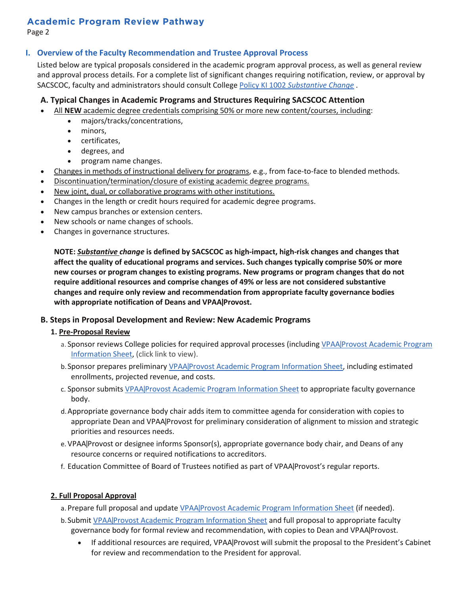# **Academic Program Review Pathway**

Page 2

# **I. Overview of the Faculty Recommendation and Trustee Approval Process**

Listed below are typical proposals considered in the academic program approval process, as well as general review and approval process details. For a complete list of significant changes requiring notification, review, or approval by SACSCOC, faculty and administrators should consult College [Policy KI 1002](https://rpublic.rollins.edu/sites/IR/Shared%20Documents/KI%201002%20Substantive%20Change%20Policy.pdf) *[Substantive Change](https://rpublic.rollins.edu/sites/IR/Shared%20Documents/KI%201002%20Substantive%20Change%20Policy.pdf)* .

### **A. Typical Changes in Academic Programs and Structures Requiring SACSCOC Attention**

- All **NEW** academic degree credentials comprising 50% or more new content/courses, including:
	- majors/tracks/concentrations,
		- minors,
		- certificates,
		- degrees, and
		- program name changes.
- Changes in methods of instructional delivery for programs, e.g., from face-to-face to blended methods.
- Discontinuation/termination/closure of existing academic degree programs.
- New joint, dual, or collaborative programs with other institutions.
- Changes in the length or credit hours required for academic degree programs.
- New campus branches or extension centers.
- New schools or name changes of schools.
- Changes in governance structures.

**NOTE:** *Substantive change* **is defined by SACSCOC as high-impact, high-risk changes and changes that affect the quality of educational programs and services. Such changes typically comprise 50% or more new courses or program changes to existing programs. New programs or program changes that do not require additional resources and comprise changes of 49% or less are not considered substantive changes and require only review and recommendation from appropriate faculty governance bodies**  with appropriate notification of Deans and VPAA | Provost.

# **B. Steps in Proposal Development and Review: New Academic Programs**

#### **1. Pre-Proposal Review**

- a. Sponsor reviews College policies for required approval processes (including VPAA | Provost Academic Program Information Sheet, (click link to view).
- b. Sponsor prepares preliminary VPAA Provost Academic Program Information Sheet, including estimated enrollments, projected revenue, and costs.
- c. Sponsor submits VPAA Provost Academic Program Information Sheet to appropriate faculty governance body.
- d.Appropriate governance body chair adds item to committee agenda for consideration with copies to appropriate Dean and VPAA | Provost for preliminary consideration of alignment to mission and strategic priorities and resources needs.
- e. VPAA Provost or designee informs Sponsor(s), appropriate governance body chair, and Deans of any resource concerns or required notifications to accreditors.
- f. Education Committee of Board of Trustees notified as part of VPAA | Provost's regular reports.

#### **2. Full Proposal Approval**

- a. Prepare full proposal and update VPAA | Provost Academic Program Information Sheet (if needed).
- b. Submit VPAA Provost Academic Program Information Sheet and full proposal to appropriate faculty governance body for formal review and recommendation, with copies to Dean and VPAA | Provost.
	- If additional resources are required, VPAA Provost will submit the proposal to the President's Cabinet for review and recommendation to the President for approval.